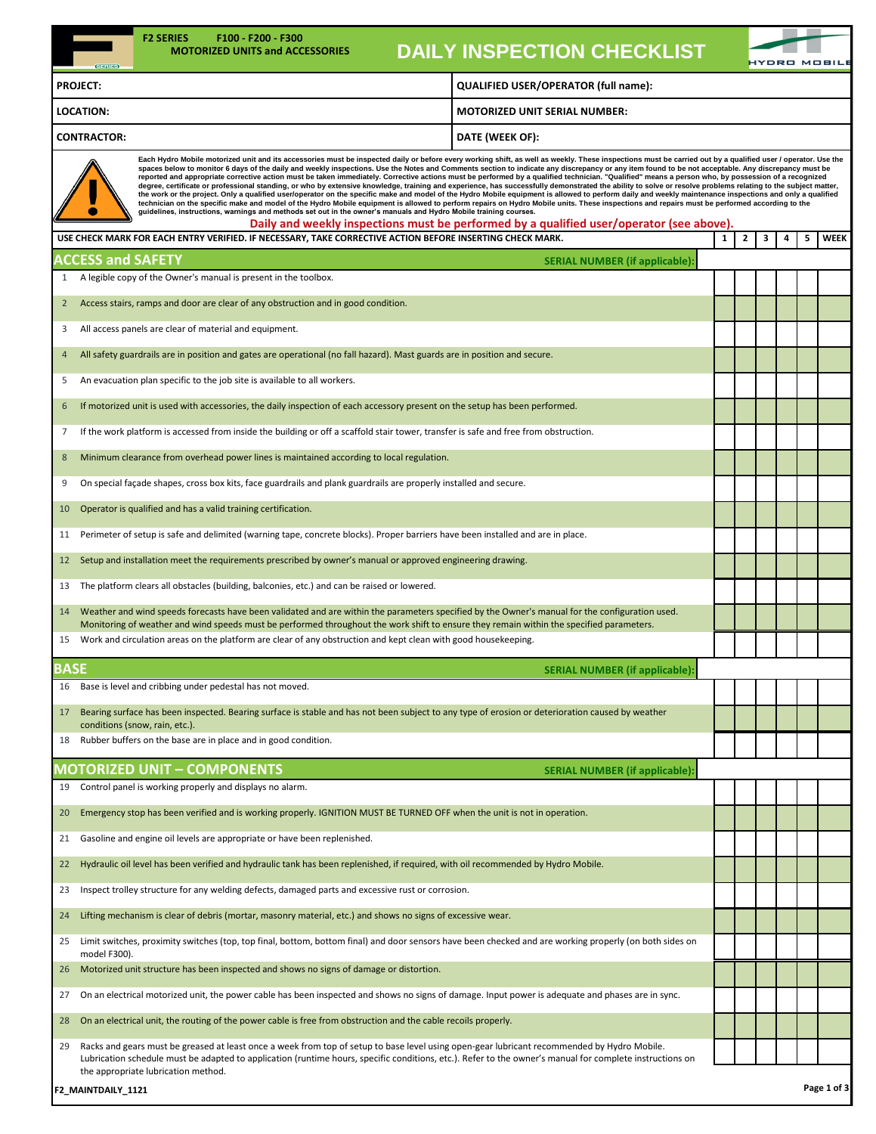| <b>F2 SERIES</b><br>F100 F200 F300<br><b>MOTORIZED UNITS and ACCESSORIES</b>                                                                                                                                                                                                                                                                                                                                                                                                                                                                                                                                                                                                                                                                                                                                                                                                                                                                                                                                                                                                                                                                                                                                                                                                                                                                                                                                                                                           |                                                                                                                                                         |  | <b>DAILY INSPECTION CHECKLIST</b>                                                                                                                                                                                                                                                                       |              |   |   |   |   | KYDRO MOBILI |  |  |  |
|------------------------------------------------------------------------------------------------------------------------------------------------------------------------------------------------------------------------------------------------------------------------------------------------------------------------------------------------------------------------------------------------------------------------------------------------------------------------------------------------------------------------------------------------------------------------------------------------------------------------------------------------------------------------------------------------------------------------------------------------------------------------------------------------------------------------------------------------------------------------------------------------------------------------------------------------------------------------------------------------------------------------------------------------------------------------------------------------------------------------------------------------------------------------------------------------------------------------------------------------------------------------------------------------------------------------------------------------------------------------------------------------------------------------------------------------------------------------|---------------------------------------------------------------------------------------------------------------------------------------------------------|--|---------------------------------------------------------------------------------------------------------------------------------------------------------------------------------------------------------------------------------------------------------------------------------------------------------|--------------|---|---|---|---|--------------|--|--|--|
| <b>PROJECT:</b>                                                                                                                                                                                                                                                                                                                                                                                                                                                                                                                                                                                                                                                                                                                                                                                                                                                                                                                                                                                                                                                                                                                                                                                                                                                                                                                                                                                                                                                        | QUALIFIED USER/OPERATOR (full name):                                                                                                                    |  |                                                                                                                                                                                                                                                                                                         |              |   |   |   |   |              |  |  |  |
| <b>LOCATION:</b><br><b>MOTORIZED UNIT SERIAL NUMBER:</b>                                                                                                                                                                                                                                                                                                                                                                                                                                                                                                                                                                                                                                                                                                                                                                                                                                                                                                                                                                                                                                                                                                                                                                                                                                                                                                                                                                                                               |                                                                                                                                                         |  |                                                                                                                                                                                                                                                                                                         |              |   |   |   |   |              |  |  |  |
| <b>CONTRACTOR:</b><br>DATE (WEEK OF):                                                                                                                                                                                                                                                                                                                                                                                                                                                                                                                                                                                                                                                                                                                                                                                                                                                                                                                                                                                                                                                                                                                                                                                                                                                                                                                                                                                                                                  |                                                                                                                                                         |  |                                                                                                                                                                                                                                                                                                         |              |   |   |   |   |              |  |  |  |
| Each Hydro Mobile motorized unit and its accessories must be inspected daily or before every working shift, as well as weekly. These inspections must be carried out by a qualified user / operator. Use the<br>spaces below to monitor 6 days of the daily and weekly inspections. Use the Notes and Comments section to indicate any discrepancy or any item found to be not acceptable. Any discrepancy must be<br>reported and appropriate corrective action must be taken immediately. Corrective actions must be performed by a qualified technician. "Qualified" means a person who, by possession of a recognized<br>degree, certificate or professional standing, or who by extensive knowledge, training and experience, has successfully demonstrated the ability to solve or resolve problems relating to the subject matter,<br>the work or the project. Only a qualified user/operator on the specific make and model of the Hydro Mobile equipment is allowed to perform daily and weekly maintenance inspections and only a qualified<br>technician on the specific make and model of the Hydro Mobile equipment is allowed to perform repairs on Hydro Mobile units. These inspections and repairs must be performed according to the<br>guidelines, instructions, warnings and methods set out in the owner's manuals and Hydro Mobile training courses.<br>Daily and weekly inspections must be performed by a qualified user/operator (see above). |                                                                                                                                                         |  |                                                                                                                                                                                                                                                                                                         |              |   |   |   |   |              |  |  |  |
| USE CHECK MARK FOR EACH ENTRY VERIFIED. IF NECESSARY, TAKE CORRECTIVE ACTION BEFORE INSERTING CHECK MARK.                                                                                                                                                                                                                                                                                                                                                                                                                                                                                                                                                                                                                                                                                                                                                                                                                                                                                                                                                                                                                                                                                                                                                                                                                                                                                                                                                              |                                                                                                                                                         |  |                                                                                                                                                                                                                                                                                                         | $\mathbf{1}$ | 2 | 3 | 4 | 5 | WEEK         |  |  |  |
| <b>ACCESS and SAFETY</b><br><b>SERIAL NUMBER (if applicable):</b><br>A legible copy of the Owner's manual is present in the toolbox.                                                                                                                                                                                                                                                                                                                                                                                                                                                                                                                                                                                                                                                                                                                                                                                                                                                                                                                                                                                                                                                                                                                                                                                                                                                                                                                                   |                                                                                                                                                         |  |                                                                                                                                                                                                                                                                                                         |              |   |   |   |   |              |  |  |  |
| Access stairs, ramps and door are clear of any obstruction and in good condition.                                                                                                                                                                                                                                                                                                                                                                                                                                                                                                                                                                                                                                                                                                                                                                                                                                                                                                                                                                                                                                                                                                                                                                                                                                                                                                                                                                                      |                                                                                                                                                         |  |                                                                                                                                                                                                                                                                                                         |              |   |   |   |   |              |  |  |  |
| All access panels are clear of material and equipment.<br>3                                                                                                                                                                                                                                                                                                                                                                                                                                                                                                                                                                                                                                                                                                                                                                                                                                                                                                                                                                                                                                                                                                                                                                                                                                                                                                                                                                                                            |                                                                                                                                                         |  |                                                                                                                                                                                                                                                                                                         |              |   |   |   |   |              |  |  |  |
| All safety guardrails are in position and gates are operational (no fall hazard). Mast guards are in position and secure.<br>$\overline{4}$                                                                                                                                                                                                                                                                                                                                                                                                                                                                                                                                                                                                                                                                                                                                                                                                                                                                                                                                                                                                                                                                                                                                                                                                                                                                                                                            |                                                                                                                                                         |  |                                                                                                                                                                                                                                                                                                         |              |   |   |   |   |              |  |  |  |
| An evacuation plan specific to the job site is available to all workers.<br>5                                                                                                                                                                                                                                                                                                                                                                                                                                                                                                                                                                                                                                                                                                                                                                                                                                                                                                                                                                                                                                                                                                                                                                                                                                                                                                                                                                                          |                                                                                                                                                         |  |                                                                                                                                                                                                                                                                                                         |              |   |   |   |   |              |  |  |  |
| If motorized unit is used with accessories, the daily inspection of each accessory present on the setup has been performed.<br>6                                                                                                                                                                                                                                                                                                                                                                                                                                                                                                                                                                                                                                                                                                                                                                                                                                                                                                                                                                                                                                                                                                                                                                                                                                                                                                                                       |                                                                                                                                                         |  |                                                                                                                                                                                                                                                                                                         |              |   |   |   |   |              |  |  |  |
| If the work platform is accessed from inside the building or off a scaffold stair tower, transfer is safe and free from obstruction.<br>7                                                                                                                                                                                                                                                                                                                                                                                                                                                                                                                                                                                                                                                                                                                                                                                                                                                                                                                                                                                                                                                                                                                                                                                                                                                                                                                              |                                                                                                                                                         |  |                                                                                                                                                                                                                                                                                                         |              |   |   |   |   |              |  |  |  |
| 8                                                                                                                                                                                                                                                                                                                                                                                                                                                                                                                                                                                                                                                                                                                                                                                                                                                                                                                                                                                                                                                                                                                                                                                                                                                                                                                                                                                                                                                                      |                                                                                                                                                         |  |                                                                                                                                                                                                                                                                                                         |              |   |   |   |   |              |  |  |  |
| Minimum clearance from overhead power lines is maintained according to local regulation.<br>On special façade shapes, cross box kits, face guardrails and plank guardrails are properly installed and secure.<br>9                                                                                                                                                                                                                                                                                                                                                                                                                                                                                                                                                                                                                                                                                                                                                                                                                                                                                                                                                                                                                                                                                                                                                                                                                                                     |                                                                                                                                                         |  |                                                                                                                                                                                                                                                                                                         |              |   |   |   |   |              |  |  |  |
| Operator is qualified and has a valid training certification.<br>10                                                                                                                                                                                                                                                                                                                                                                                                                                                                                                                                                                                                                                                                                                                                                                                                                                                                                                                                                                                                                                                                                                                                                                                                                                                                                                                                                                                                    |                                                                                                                                                         |  |                                                                                                                                                                                                                                                                                                         |              |   |   |   |   |              |  |  |  |
| 11                                                                                                                                                                                                                                                                                                                                                                                                                                                                                                                                                                                                                                                                                                                                                                                                                                                                                                                                                                                                                                                                                                                                                                                                                                                                                                                                                                                                                                                                     |                                                                                                                                                         |  |                                                                                                                                                                                                                                                                                                         |              |   |   |   |   |              |  |  |  |
| Perimeter of setup is safe and delimited (warning tape, concrete blocks). Proper barriers have been installed and are in place.<br>12                                                                                                                                                                                                                                                                                                                                                                                                                                                                                                                                                                                                                                                                                                                                                                                                                                                                                                                                                                                                                                                                                                                                                                                                                                                                                                                                  |                                                                                                                                                         |  |                                                                                                                                                                                                                                                                                                         |              |   |   |   |   |              |  |  |  |
| Setup and installation meet the requirements prescribed by owner's manual or approved engineering drawing.                                                                                                                                                                                                                                                                                                                                                                                                                                                                                                                                                                                                                                                                                                                                                                                                                                                                                                                                                                                                                                                                                                                                                                                                                                                                                                                                                             |                                                                                                                                                         |  |                                                                                                                                                                                                                                                                                                         |              |   |   |   |   |              |  |  |  |
| The platform clears all obstacles (building, balconies, etc.) and can be raised or lowered.<br>13<br>14                                                                                                                                                                                                                                                                                                                                                                                                                                                                                                                                                                                                                                                                                                                                                                                                                                                                                                                                                                                                                                                                                                                                                                                                                                                                                                                                                                |                                                                                                                                                         |  |                                                                                                                                                                                                                                                                                                         |              |   |   |   |   |              |  |  |  |
| Weather and wind speeds forecasts have been validated and are within the parameters specified by the Owner's manual for the configuration used.<br>Monitoring of weather and wind speeds must be performed throughout the work shift to ensure they remain within the specified parameters.<br>Work and circulation areas on the platform are clear of any obstruction and kept clean with good housekeeping.                                                                                                                                                                                                                                                                                                                                                                                                                                                                                                                                                                                                                                                                                                                                                                                                                                                                                                                                                                                                                                                          |                                                                                                                                                         |  |                                                                                                                                                                                                                                                                                                         |              |   |   |   |   |              |  |  |  |
|                                                                                                                                                                                                                                                                                                                                                                                                                                                                                                                                                                                                                                                                                                                                                                                                                                                                                                                                                                                                                                                                                                                                                                                                                                                                                                                                                                                                                                                                        |                                                                                                                                                         |  |                                                                                                                                                                                                                                                                                                         |              |   |   |   |   |              |  |  |  |
| <b>BASE</b><br>Base is level and cribbing under pedestal has not moved.<br>16                                                                                                                                                                                                                                                                                                                                                                                                                                                                                                                                                                                                                                                                                                                                                                                                                                                                                                                                                                                                                                                                                                                                                                                                                                                                                                                                                                                          |                                                                                                                                                         |  | <b>SERIAL NUMBER (if applicable):</b>                                                                                                                                                                                                                                                                   |              |   |   |   |   |              |  |  |  |
| 17                                                                                                                                                                                                                                                                                                                                                                                                                                                                                                                                                                                                                                                                                                                                                                                                                                                                                                                                                                                                                                                                                                                                                                                                                                                                                                                                                                                                                                                                     |                                                                                                                                                         |  |                                                                                                                                                                                                                                                                                                         |              |   |   |   |   |              |  |  |  |
| Bearing surface has been inspected. Bearing surface is stable and has not been subject to any type of erosion or deterioration caused by weather<br>conditions (snow, rain, etc.).                                                                                                                                                                                                                                                                                                                                                                                                                                                                                                                                                                                                                                                                                                                                                                                                                                                                                                                                                                                                                                                                                                                                                                                                                                                                                     |                                                                                                                                                         |  |                                                                                                                                                                                                                                                                                                         |              |   |   |   |   |              |  |  |  |
| 18                                                                                                                                                                                                                                                                                                                                                                                                                                                                                                                                                                                                                                                                                                                                                                                                                                                                                                                                                                                                                                                                                                                                                                                                                                                                                                                                                                                                                                                                     | Rubber buffers on the base are in place and in good condition.                                                                                          |  |                                                                                                                                                                                                                                                                                                         |              |   |   |   |   |              |  |  |  |
| <b>MOTORIZED UNIT - COMPONENTS</b><br>Control panel is working properly and displays no alarm.<br>19                                                                                                                                                                                                                                                                                                                                                                                                                                                                                                                                                                                                                                                                                                                                                                                                                                                                                                                                                                                                                                                                                                                                                                                                                                                                                                                                                                   |                                                                                                                                                         |  | <b>SERIAL NUMBER (if applicable):</b>                                                                                                                                                                                                                                                                   |              |   |   |   |   |              |  |  |  |
| 20                                                                                                                                                                                                                                                                                                                                                                                                                                                                                                                                                                                                                                                                                                                                                                                                                                                                                                                                                                                                                                                                                                                                                                                                                                                                                                                                                                                                                                                                     |                                                                                                                                                         |  |                                                                                                                                                                                                                                                                                                         |              |   |   |   |   |              |  |  |  |
| 21                                                                                                                                                                                                                                                                                                                                                                                                                                                                                                                                                                                                                                                                                                                                                                                                                                                                                                                                                                                                                                                                                                                                                                                                                                                                                                                                                                                                                                                                     | Emergency stop has been verified and is working properly. IGNITION MUST BE TURNED OFF when the unit is not in operation.                                |  |                                                                                                                                                                                                                                                                                                         |              |   |   |   |   |              |  |  |  |
| 22                                                                                                                                                                                                                                                                                                                                                                                                                                                                                                                                                                                                                                                                                                                                                                                                                                                                                                                                                                                                                                                                                                                                                                                                                                                                                                                                                                                                                                                                     | Gasoline and engine oil levels are appropriate or have been replenished.                                                                                |  |                                                                                                                                                                                                                                                                                                         |              |   |   |   |   |              |  |  |  |
| 23                                                                                                                                                                                                                                                                                                                                                                                                                                                                                                                                                                                                                                                                                                                                                                                                                                                                                                                                                                                                                                                                                                                                                                                                                                                                                                                                                                                                                                                                     | Hydraulic oil level has been verified and hydraulic tank has been replenished, if required, with oil recommended by Hydro Mobile.                       |  |                                                                                                                                                                                                                                                                                                         |              |   |   |   |   |              |  |  |  |
|                                                                                                                                                                                                                                                                                                                                                                                                                                                                                                                                                                                                                                                                                                                                                                                                                                                                                                                                                                                                                                                                                                                                                                                                                                                                                                                                                                                                                                                                        | Inspect trolley structure for any welding defects, damaged parts and excessive rust or corrosion.                                                       |  |                                                                                                                                                                                                                                                                                                         |              |   |   |   |   |              |  |  |  |
| 24                                                                                                                                                                                                                                                                                                                                                                                                                                                                                                                                                                                                                                                                                                                                                                                                                                                                                                                                                                                                                                                                                                                                                                                                                                                                                                                                                                                                                                                                     | Lifting mechanism is clear of debris (mortar, masonry material, etc.) and shows no signs of excessive wear.                                             |  |                                                                                                                                                                                                                                                                                                         |              |   |   |   |   |              |  |  |  |
| 25<br>model F300).                                                                                                                                                                                                                                                                                                                                                                                                                                                                                                                                                                                                                                                                                                                                                                                                                                                                                                                                                                                                                                                                                                                                                                                                                                                                                                                                                                                                                                                     | Limit switches, proximity switches (top, top final, bottom, bottom final) and door sensors have been checked and are working properly (on both sides on |  |                                                                                                                                                                                                                                                                                                         |              |   |   |   |   |              |  |  |  |
| Motorized unit structure has been inspected and shows no signs of damage or distortion.<br>26                                                                                                                                                                                                                                                                                                                                                                                                                                                                                                                                                                                                                                                                                                                                                                                                                                                                                                                                                                                                                                                                                                                                                                                                                                                                                                                                                                          |                                                                                                                                                         |  |                                                                                                                                                                                                                                                                                                         |              |   |   |   |   |              |  |  |  |
| 27                                                                                                                                                                                                                                                                                                                                                                                                                                                                                                                                                                                                                                                                                                                                                                                                                                                                                                                                                                                                                                                                                                                                                                                                                                                                                                                                                                                                                                                                     |                                                                                                                                                         |  | On an electrical motorized unit, the power cable has been inspected and shows no signs of damage. Input power is adequate and phases are in sync.                                                                                                                                                       |              |   |   |   |   |              |  |  |  |
| On an electrical unit, the routing of the power cable is free from obstruction and the cable recoils properly.<br>28                                                                                                                                                                                                                                                                                                                                                                                                                                                                                                                                                                                                                                                                                                                                                                                                                                                                                                                                                                                                                                                                                                                                                                                                                                                                                                                                                   |                                                                                                                                                         |  |                                                                                                                                                                                                                                                                                                         |              |   |   |   |   |              |  |  |  |
| 29<br>the appropriate lubrication method.                                                                                                                                                                                                                                                                                                                                                                                                                                                                                                                                                                                                                                                                                                                                                                                                                                                                                                                                                                                                                                                                                                                                                                                                                                                                                                                                                                                                                              |                                                                                                                                                         |  | Racks and gears must be greased at least once a week from top of setup to base level using open-gear lubricant recommended by Hydro Mobile.<br>Lubrication schedule must be adapted to application (runtime hours, specific conditions, etc.). Refer to the owner's manual for complete instructions on |              |   |   |   |   |              |  |  |  |
| Page 1 of 3<br>F2_MAINTDAILY_1121                                                                                                                                                                                                                                                                                                                                                                                                                                                                                                                                                                                                                                                                                                                                                                                                                                                                                                                                                                                                                                                                                                                                                                                                                                                                                                                                                                                                                                      |                                                                                                                                                         |  |                                                                                                                                                                                                                                                                                                         |              |   |   |   |   |              |  |  |  |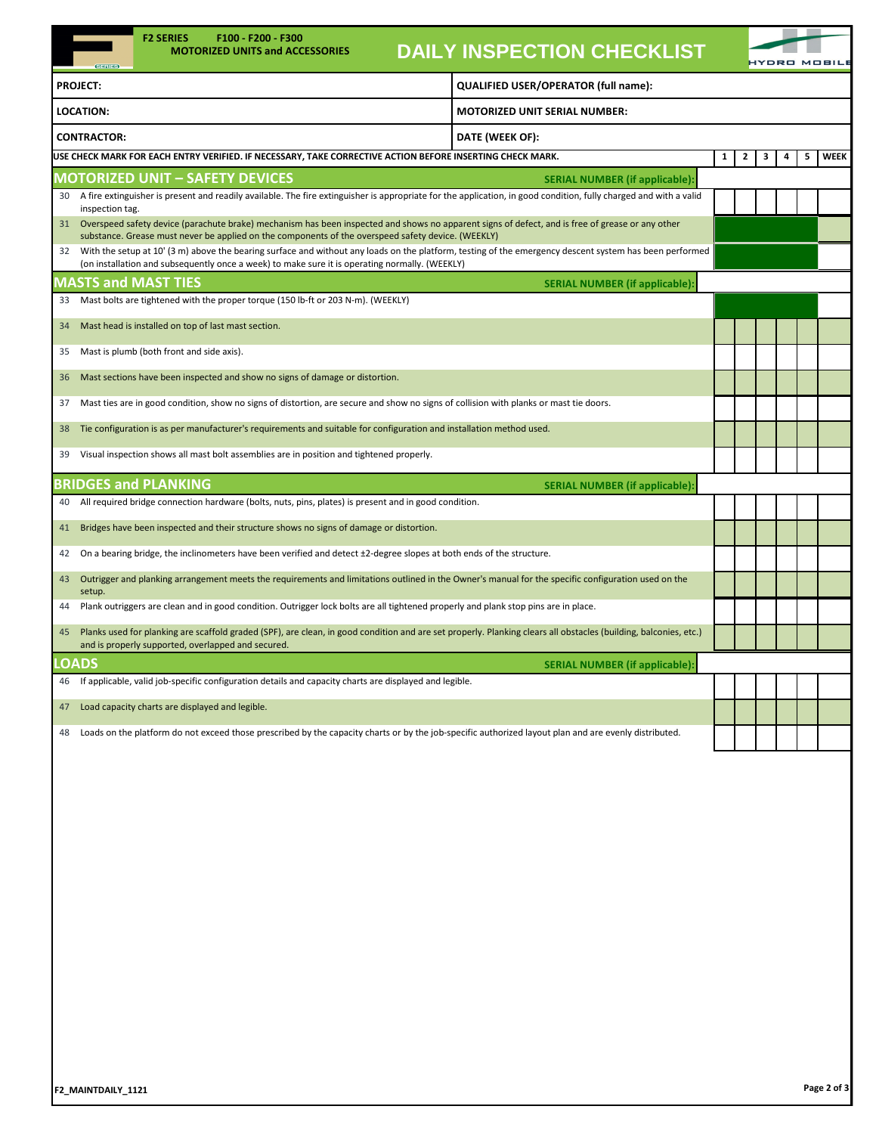| $63 = 1153$           | <b>F2 SERIES</b><br>F100 F200 F300<br><b>MOTORIZED UNITS and ACCESSORIES</b>                                                                                                                                                                              | <b>DAILY INSPECTION CHECKLIST</b>     |                   |   |   | YDRO MOBILI |
|-----------------------|-----------------------------------------------------------------------------------------------------------------------------------------------------------------------------------------------------------------------------------------------------------|---------------------------------------|-------------------|---|---|-------------|
| <b>PROJECT:</b>       |                                                                                                                                                                                                                                                           | QUALIFIED USER/OPERATOR (full name):  |                   |   |   |             |
| <b>LOCATION:</b>      |                                                                                                                                                                                                                                                           | <b>MOTORIZED UNIT SERIAL NUMBER:</b>  |                   |   |   |             |
| <b>CONTRACTOR:</b>    |                                                                                                                                                                                                                                                           | DATE (WEEK OF):                       |                   |   |   |             |
|                       | USE CHECK MARK FOR EACH ENTRY VERIFIED. IF NECESSARY, TAKE CORRECTIVE ACTION BEFORE INSERTING CHECK MARK.                                                                                                                                                 |                                       | $\mathbf{1}$<br>2 | з | 4 | WEEK<br>5   |
|                       | <b>MOTORIZED UNIT - SAFETY DEVICES</b>                                                                                                                                                                                                                    | <b>SERIAL NUMBER (if applicable):</b> |                   |   |   |             |
| 30<br>inspection tag. | A fire extinguisher is present and readily available. The fire extinguisher is appropriate for the application, in good condition, fully charged and with a valid                                                                                         |                                       |                   |   |   |             |
| 31                    | Overspeed safety device (parachute brake) mechanism has been inspected and shows no apparent signs of defect, and is free of grease or any other<br>substance. Grease must never be applied on the components of the overspeed safety device. (WEEKLY)    |                                       |                   |   |   |             |
| 32                    | With the setup at 10' (3 m) above the bearing surface and without any loads on the platform, testing of the emergency descent system has been performed<br>(on installation and subsequently once a week) to make sure it is operating normally. (WEEKLY) |                                       |                   |   |   |             |
|                       | <b>MASTS and MAST TIES</b>                                                                                                                                                                                                                                | <b>SERIAL NUMBER (if applicable):</b> |                   |   |   |             |
| 33                    | Mast bolts are tightened with the proper torque (150 lb-ft or 203 N-m). (WEEKLY)                                                                                                                                                                          |                                       |                   |   |   |             |
| 34                    | Mast head is installed on top of last mast section.                                                                                                                                                                                                       |                                       |                   |   |   |             |
| 35                    | Mast is plumb (both front and side axis).                                                                                                                                                                                                                 |                                       |                   |   |   |             |
| 36                    | Mast sections have been inspected and show no signs of damage or distortion.                                                                                                                                                                              |                                       |                   |   |   |             |
| 37                    | Mast ties are in good condition, show no signs of distortion, are secure and show no signs of collision with planks or mast tie doors.                                                                                                                    |                                       |                   |   |   |             |
| 38                    | Tie configuration is as per manufacturer's requirements and suitable for configuration and installation method used.                                                                                                                                      |                                       |                   |   |   |             |
| 39                    | Visual inspection shows all mast bolt assemblies are in position and tightened properly.                                                                                                                                                                  |                                       |                   |   |   |             |
|                       | <b>BRIDGES and PLANKING</b>                                                                                                                                                                                                                               | <b>SERIAL NUMBER (if applicable):</b> |                   |   |   |             |
| 40                    | All required bridge connection hardware (bolts, nuts, pins, plates) is present and in good condition.                                                                                                                                                     |                                       |                   |   |   |             |
| 41                    | Bridges have been inspected and their structure shows no signs of damage or distortion.                                                                                                                                                                   |                                       |                   |   |   |             |
| 42                    | On a bearing bridge, the inclinometers have been verified and detect ±2-degree slopes at both ends of the structure.                                                                                                                                      |                                       |                   |   |   |             |
| 43<br>setup.          | Outrigger and planking arrangement meets the requirements and limitations outlined in the Owner's manual for the specific configuration used on the                                                                                                       |                                       |                   |   |   |             |
| 44                    | Plank outriggers are clean and in good condition. Outrigger lock bolts are all tightened properly and plank stop pins are in place.                                                                                                                       |                                       |                   |   |   |             |
| 45                    | Planks used for planking are scaffold graded (SPF), are clean, in good condition and are set properly. Planking clears all obstacles (building, balconies, etc.)<br>and is properly supported, overlapped and secured.                                    |                                       |                   |   |   |             |
| <b>LOADS</b>          |                                                                                                                                                                                                                                                           | <b>SERIAL NUMBER (if applicable):</b> |                   |   |   |             |
| 46                    | If applicable, valid job-specific configuration details and capacity charts are displayed and legible.                                                                                                                                                    |                                       |                   |   |   |             |
| 47                    | Load capacity charts are displayed and legible.                                                                                                                                                                                                           |                                       |                   |   |   |             |
| 48                    | Loads on the platform do not exceed those prescribed by the capacity charts or by the job-specific authorized layout plan and are evenly distributed.                                                                                                     |                                       |                   |   |   |             |
|                       |                                                                                                                                                                                                                                                           |                                       |                   |   |   |             |